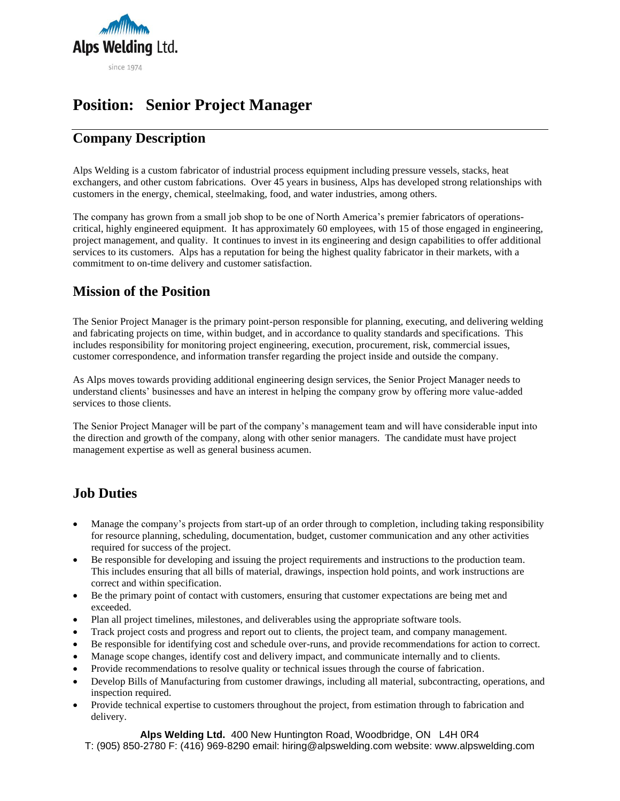

# **Position: Senior Project Manager**

## **Company Description**

Alps Welding is a custom fabricator of industrial process equipment including pressure vessels, stacks, heat exchangers, and other custom fabrications. Over 45 years in business, Alps has developed strong relationships with customers in the energy, chemical, steelmaking, food, and water industries, among others.

The company has grown from a small job shop to be one of North America's premier fabricators of operationscritical, highly engineered equipment. It has approximately 60 employees, with 15 of those engaged in engineering, project management, and quality. It continues to invest in its engineering and design capabilities to offer additional services to its customers. Alps has a reputation for being the highest quality fabricator in their markets, with a commitment to on-time delivery and customer satisfaction.

#### **Mission of the Position**

The Senior Project Manager is the primary point-person responsible for planning, executing, and delivering welding and fabricating projects on time, within budget, and in accordance to quality standards and specifications. This includes responsibility for monitoring project engineering, execution, procurement, risk, commercial issues, customer correspondence, and information transfer regarding the project inside and outside the company.

As Alps moves towards providing additional engineering design services, the Senior Project Manager needs to understand clients' businesses and have an interest in helping the company grow by offering more value-added services to those clients.

The Senior Project Manager will be part of the company's management team and will have considerable input into the direction and growth of the company, along with other senior managers. The candidate must have project management expertise as well as general business acumen.

### **Job Duties**

- Manage the company's projects from start-up of an order through to completion, including taking responsibility for resource planning, scheduling, documentation, budget, customer communication and any other activities required for success of the project.
- Be responsible for developing and issuing the project requirements and instructions to the production team. This includes ensuring that all bills of material, drawings, inspection hold points, and work instructions are correct and within specification.
- Be the primary point of contact with customers, ensuring that customer expectations are being met and exceeded.
- Plan all project timelines, milestones, and deliverables using the appropriate software tools.
- Track project costs and progress and report out to clients, the project team, and company management.
- Be responsible for identifying cost and schedule over-runs, and provide recommendations for action to correct.
- Manage scope changes, identify cost and delivery impact, and communicate internally and to clients.
- Provide recommendations to resolve quality or technical issues through the course of fabrication.
- Develop Bills of Manufacturing from customer drawings, including all material, subcontracting, operations, and inspection required.
- Provide technical expertise to customers throughout the project, from estimation through to fabrication and delivery.

**Alps Welding Ltd.** 400 New Huntington Road, Woodbridge, ON L4H 0R4

T: (905) 850-2780 F: (416) 969-8290 email: hiring@alpswelding.com website: www.alpswelding.com